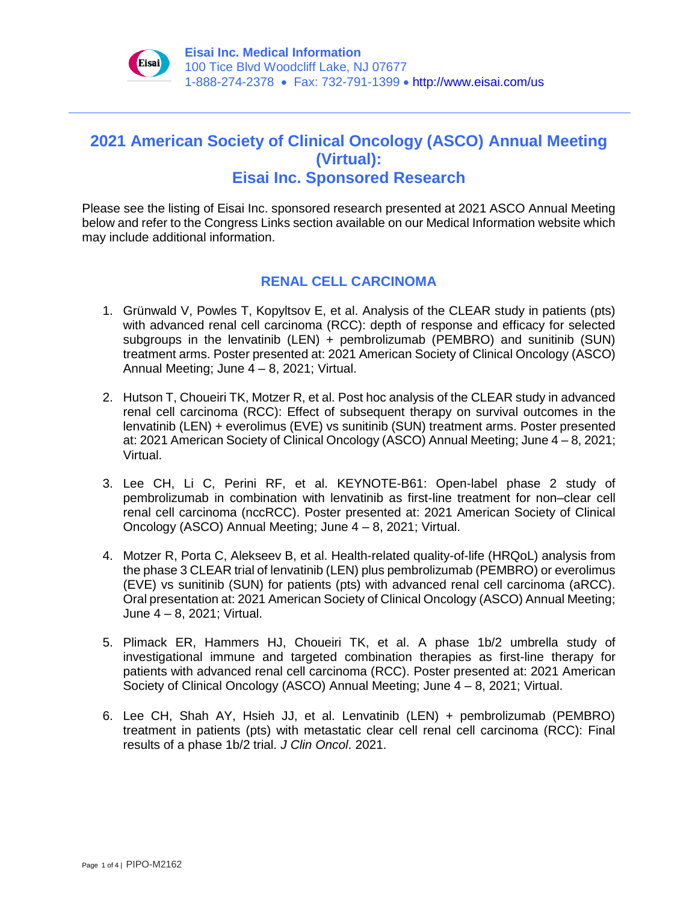

# **2021 American Society of Clinical Oncology (ASCO) Annual Meeting (Virtual): Eisai Inc. Sponsored Research**

Please see the listing of Eisai Inc. sponsored research presented at 2021 ASCO Annual Meeting below and refer to the Congress Links section available on our Medical Information website which may include additional information.

# **RENAL CELL CARCINOMA**

- 1. Grünwald V, Powles T, Kopyltsov E, et al. Analysis of the CLEAR study in patients (pts) with advanced renal cell carcinoma (RCC): depth of response and efficacy for selected subgroups in the lenvatinib (LEN) + pembrolizumab (PEMBRO) and sunitinib (SUN) treatment arms. Poster presented at: 2021 American Society of Clinical Oncology (ASCO) Annual Meeting; June 4 – 8, 2021; Virtual.
- 2. Hutson T, Choueiri TK, Motzer R, et al. Post hoc analysis of the CLEAR study in advanced renal cell carcinoma (RCC): Effect of subsequent therapy on survival outcomes in the lenvatinib (LEN) + everolimus (EVE) vs sunitinib (SUN) treatment arms. Poster presented at: 2021 American Society of Clinical Oncology (ASCO) Annual Meeting; June 4 – 8, 2021; Virtual.
- 3. Lee CH, Li C, Perini RF, et al. KEYNOTE-B61: Open-label phase 2 study of pembrolizumab in combination with lenvatinib as first-line treatment for non–clear cell renal cell carcinoma (nccRCC). Poster presented at: 2021 American Society of Clinical Oncology (ASCO) Annual Meeting; June 4 – 8, 2021; Virtual.
- 4. Motzer R, Porta C, Alekseev B, et al. Health-related quality-of-life (HRQoL) analysis from the phase 3 CLEAR trial of lenvatinib (LEN) plus pembrolizumab (PEMBRO) or everolimus (EVE) vs sunitinib (SUN) for patients (pts) with advanced renal cell carcinoma (aRCC). Oral presentation at: 2021 American Society of Clinical Oncology (ASCO) Annual Meeting; June 4 – 8, 2021; Virtual.
- 5. Plimack ER, Hammers HJ, Choueiri TK, et al. A phase 1b/2 umbrella study of investigational immune and targeted combination therapies as first-line therapy for patients with advanced renal cell carcinoma (RCC). Poster presented at: 2021 American Society of Clinical Oncology (ASCO) Annual Meeting; June 4 – 8, 2021; Virtual.
- 6. Lee CH, Shah AY, Hsieh JJ, et al. Lenvatinib (LEN) + pembrolizumab (PEMBRO) treatment in patients (pts) with metastatic clear cell renal cell carcinoma (RCC): Final results of a phase 1b/2 trial. *J Clin Oncol*. 2021.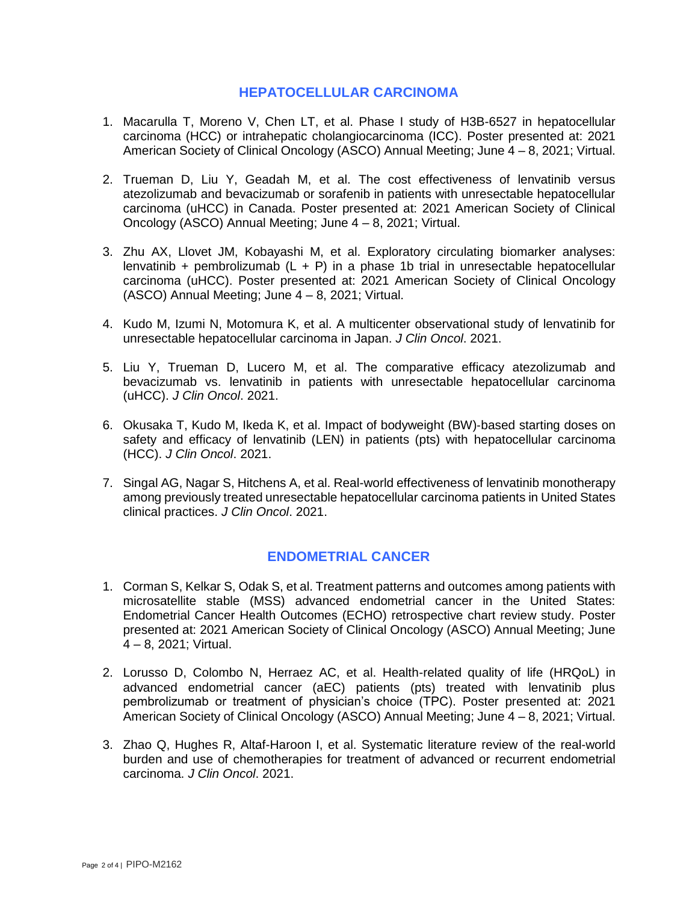#### **HEPATOCELLULAR CARCINOMA**

- 1. Macarulla T, Moreno V, Chen LT, et al. Phase I study of H3B-6527 in hepatocellular carcinoma (HCC) or intrahepatic cholangiocarcinoma (ICC). Poster presented at: 2021 American Society of Clinical Oncology (ASCO) Annual Meeting; June 4 – 8, 2021; Virtual.
- 2. Trueman D, Liu Y, Geadah M, et al. The cost effectiveness of lenvatinib versus atezolizumab and bevacizumab or sorafenib in patients with unresectable hepatocellular carcinoma (uHCC) in Canada. Poster presented at: 2021 American Society of Clinical Oncology (ASCO) Annual Meeting; June 4 – 8, 2021; Virtual.
- 3. Zhu AX, Llovet JM, Kobayashi M, et al. Exploratory circulating biomarker analyses: lenvatinib + pembrolizumab  $(L + P)$  in a phase 1b trial in unresectable hepatocellular carcinoma (uHCC). Poster presented at: 2021 American Society of Clinical Oncology (ASCO) Annual Meeting; June 4 – 8, 2021; Virtual.
- 4. Kudo M, Izumi N, Motomura K, et al. A multicenter observational study of lenvatinib for unresectable hepatocellular carcinoma in Japan. *J Clin Oncol*. 2021.
- 5. Liu Y, Trueman D, Lucero M, et al. The comparative efficacy atezolizumab and bevacizumab vs. lenvatinib in patients with unresectable hepatocellular carcinoma (uHCC). *J Clin Oncol*. 2021.
- 6. Okusaka T, Kudo M, Ikeda K, et al. Impact of bodyweight (BW)‐based starting doses on safety and efficacy of lenvatinib (LEN) in patients (pts) with hepatocellular carcinoma (HCC). *J Clin Oncol*. 2021.
- 7. Singal AG, Nagar S, Hitchens A, et al. Real-world effectiveness of lenvatinib monotherapy among previously treated unresectable hepatocellular carcinoma patients in United States clinical practices. *J Clin Oncol*. 2021.

## **ENDOMETRIAL CANCER**

- 1. Corman S, Kelkar S, Odak S, et al. Treatment patterns and outcomes among patients with microsatellite stable (MSS) advanced endometrial cancer in the United States: Endometrial Cancer Health Outcomes (ECHO) retrospective chart review study. Poster presented at: 2021 American Society of Clinical Oncology (ASCO) Annual Meeting; June 4 – 8, 2021; Virtual.
- 2. Lorusso D, Colombo N, Herraez AC, et al. Health-related quality of life (HRQoL) in advanced endometrial cancer (aEC) patients (pts) treated with lenvatinib plus pembrolizumab or treatment of physician's choice (TPC). Poster presented at: 2021 American Society of Clinical Oncology (ASCO) Annual Meeting; June 4 – 8, 2021; Virtual.
- 3. Zhao Q, Hughes R, Altaf-Haroon I, et al. Systematic literature review of the real-world burden and use of chemotherapies for treatment of advanced or recurrent endometrial carcinoma. *J Clin Oncol*. 2021.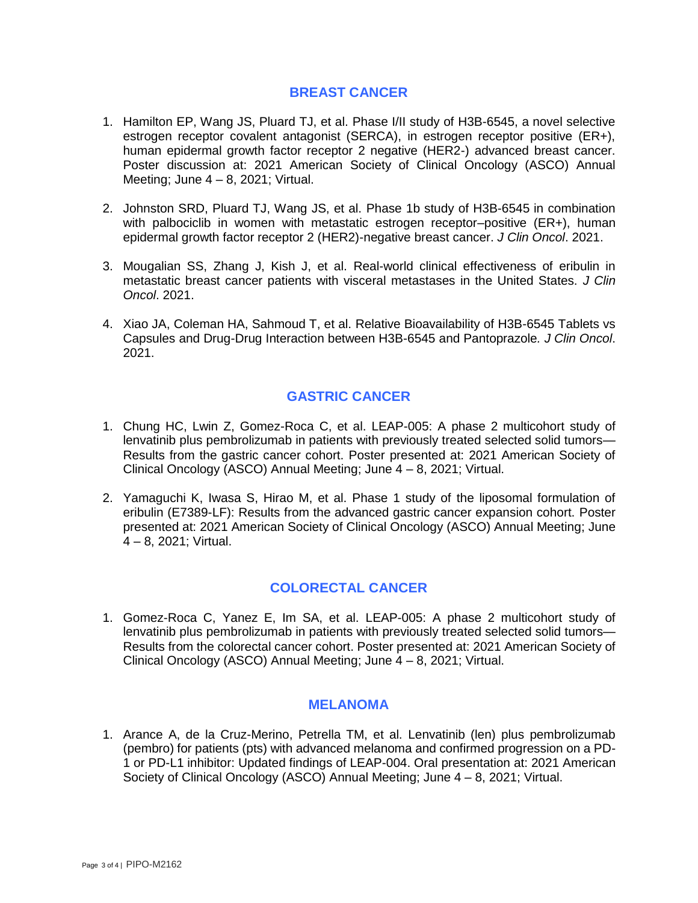## **BREAST CANCER**

- 1. Hamilton EP, Wang JS, Pluard TJ, et al. Phase I/II study of H3B-6545, a novel selective estrogen receptor covalent antagonist (SERCA), in estrogen receptor positive (ER+), human epidermal growth factor receptor 2 negative (HER2-) advanced breast cancer. Poster discussion at: 2021 American Society of Clinical Oncology (ASCO) Annual Meeting; June  $4 - 8$ , 2021; Virtual.
- 2. Johnston SRD, Pluard TJ, Wang JS, et al. Phase 1b study of H3B-6545 in combination with palbociclib in women with metastatic estrogen receptor-positive (ER+), human epidermal growth factor receptor 2 (HER2)-negative breast cancer. *J Clin Oncol*. 2021.
- 3. Mougalian SS, Zhang J, Kish J, et al. Real-world clinical effectiveness of eribulin in metastatic breast cancer patients with visceral metastases in the United States. *J Clin Oncol*. 2021.
- 4. Xiao JA, Coleman HA, Sahmoud T, et al. Relative Bioavailability of H3B-6545 Tablets vs Capsules and Drug-Drug Interaction between H3B-6545 and Pantoprazole*. J Clin Oncol*. 2021.

## **GASTRIC CANCER**

- 1. Chung HC, Lwin Z, Gomez-Roca C, et al. LEAP-005: A phase 2 multicohort study of lenvatinib plus pembrolizumab in patients with previously treated selected solid tumors— Results from the gastric cancer cohort. Poster presented at: 2021 American Society of Clinical Oncology (ASCO) Annual Meeting; June 4 – 8, 2021; Virtual.
- 2. Yamaguchi K, Iwasa S, Hirao M, et al. Phase 1 study of the liposomal formulation of eribulin (E7389-LF): Results from the advanced gastric cancer expansion cohort. Poster presented at: 2021 American Society of Clinical Oncology (ASCO) Annual Meeting; June 4 – 8, 2021; Virtual.

## **COLORECTAL CANCER**

1. Gomez-Roca C, Yanez E, Im SA, et al. LEAP-005: A phase 2 multicohort study of lenvatinib plus pembrolizumab in patients with previously treated selected solid tumors— Results from the colorectal cancer cohort. Poster presented at: 2021 American Society of Clinical Oncology (ASCO) Annual Meeting; June 4 – 8, 2021; Virtual.

#### **MELANOMA**

1. Arance A, de la Cruz-Merino, Petrella TM, et al. Lenvatinib (len) plus pembrolizumab (pembro) for patients (pts) with advanced melanoma and confirmed progression on a PD-1 or PD-L1 inhibitor: Updated findings of LEAP-004. Oral presentation at: 2021 American Society of Clinical Oncology (ASCO) Annual Meeting; June 4 – 8, 2021; Virtual.